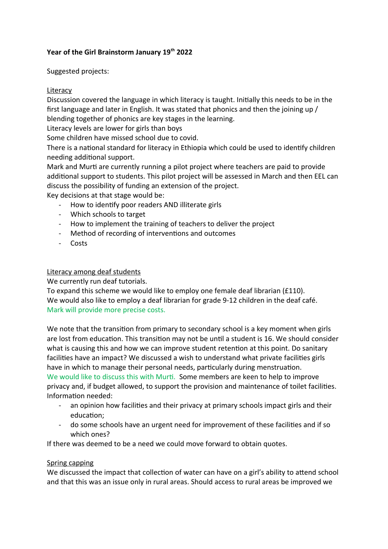# **Year of the Girl Brainstorm January 19th 2022**

Suggested projects:

## Literacy

Discussion covered the language in which literacy is taught. Initially this needs to be in the first language and later in English. It was stated that phonics and then the joining up / blending together of phonics are key stages in the learning.

Literacy levels are lower for girls than boys

Some children have missed school due to covid.

There is a national standard for literacy in Ethiopia which could be used to identify children needing additional support.

Mark and Murti are currently running a pilot project where teachers are paid to provide additional support to students. This pilot project will be assessed in March and then EEL can discuss the possibility of funding an extension of the project.

Key decisions at that stage would be:

- How to identify poor readers AND illiterate girls
- Which schools to target
- How to implement the training of teachers to deliver the project
- Method of recording of interventions and outcomes
- Costs

### Literacy among deaf students

We currently run deaf tutorials.

To expand this scheme we would like to employ one female deaf librarian (£110). We would also like to employ a deaf librarian for grade 9-12 children in the deaf café. Mark will provide more precise costs.

We note that the transition from primary to secondary school is a key moment when girls are lost from education. This transition may not be until a student is 16. We should consider what is causing this and how we can improve student retention at this point. Do sanitary facilities have an impact? We discussed a wish to understand what private facilities girls have in which to manage their personal needs, particularly during menstruation. We would like to discuss this with Murti. Some members are keen to help to improve privacy and, if budget allowed, to support the provision and maintenance of toilet facilities. Information needed:

- an opinion how facilities and their privacy at primary schools impact girls and their education;
- do some schools have an urgent need for improvement of these facilities and if so which ones?

If there was deemed to be a need we could move forward to obtain quotes.

### Spring capping

We discussed the impact that collection of water can have on a girl's ability to attend school and that this was an issue only in rural areas. Should access to rural areas be improved we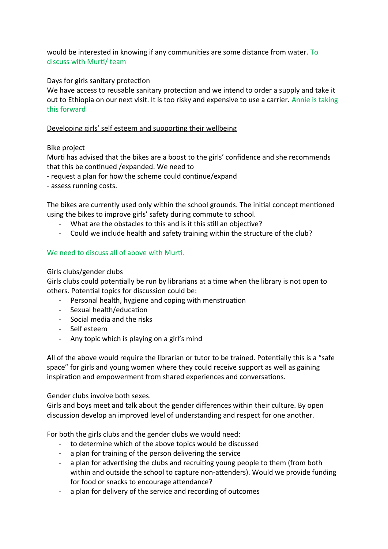would be interested in knowing if any communities are some distance from water. To discuss with Murti/ team

### Days for girls sanitary protection

We have access to reusable sanitary protection and we intend to order a supply and take it out to Ethiopia on our next visit. It is too risky and expensive to use a carrier. Annie is taking this forward

### Developing girls' self esteem and supporting their wellbeing

### Bike project

Murti has advised that the bikes are a boost to the girls' confidence and she recommends that this be continued /expanded. We need to

- request a plan for how the scheme could continue/expand
- assess running costs.

The bikes are currently used only within the school grounds. The initial concept mentioned using the bikes to improve girls' safety during commute to school.

- What are the obstacles to this and is it this still an objective?
- Could we include health and safety training within the structure of the club?

### We need to discuss all of above with Murti.

### Girls clubs/gender clubs

Girls clubs could potentially be run by librarians at a time when the library is not open to others. Potential topics for discussion could be:

- Personal health, hygiene and coping with menstruation
- Sexual health/education
- Social media and the risks
- Self esteem
- Any topic which is playing on a girl's mind

All of the above would require the librarian or tutor to be trained. Potentially this is a "safe space" for girls and young women where they could receive support as well as gaining inspiration and empowerment from shared experiences and conversations.

Gender clubs involve both sexes.

Girls and boys meet and talk about the gender differences within their culture. By open discussion develop an improved level of understanding and respect for one another.

For both the girls clubs and the gender clubs we would need:

- to determine which of the above topics would be discussed
- a plan for training of the person delivering the service
- a plan for advertising the clubs and recruiting young people to them (from both within and outside the school to capture non-attenders). Would we provide funding for food or snacks to encourage attendance?
- a plan for delivery of the service and recording of outcomes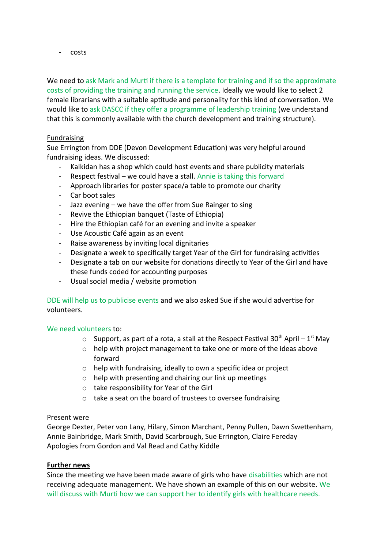- costs

We need to ask Mark and Murti if there is a template for training and if so the approximate costs of providing the training and running the service. Ideally we would like to select 2 female librarians with a suitable aptitude and personality for this kind of conversation. We would like to ask DASCC if they offer a programme of leadership training (we understand that this is commonly available with the church development and training structure).

### Fundraising

Sue Errington from DDE (Devon Development Education) was very helpful around fundraising ideas. We discussed:

- Kalkidan has a shop which could host events and share publicity materials
- Respect festival we could have a stall. Annie is taking this forward
- Approach libraries for poster space/a table to promote our charity
- Car boot sales
- Jazz evening  $-$  we have the offer from Sue Rainger to sing
- Revive the Ethiopian banquet (Taste of Ethiopia)
- Hire the Ethiopian café for an evening and invite a speaker
- Use Acoustic Café again as an event
- Raise awareness by inviting local dignitaries
- Designate a week to specifically target Year of the Girl for fundraising activities
- Designate a tab on our website for donations directly to Year of the Girl and have these funds coded for accounting purposes
- Usual social media / website promotion

DDE will help us to publicise events and we also asked Sue if she would advertise for volunteers.

### We need volunteers to:

- $\circ$  Support, as part of a rota, a stall at the Respect Festival 30<sup>th</sup> April 1<sup>st</sup> May
- o help with project management to take one or more of the ideas above forward
- o help with fundraising, ideally to own a specific idea or project
- o help with presenting and chairing our link up meetings
- o take responsibility for Year of the Girl
- o take a seat on the board of trustees to oversee fundraising

#### Present were

George Dexter, Peter von Lany, Hilary, Simon Marchant, Penny Pullen, Dawn Swettenham, Annie Bainbridge, Mark Smith, David Scarbrough, Sue Errington, Claire Fereday Apologies from Gordon and Val Read and Cathy Kiddle

### **Further news**

Since the meeting we have been made aware of girls who have disabilities which are not receiving adequate management. We have shown an example of this on our website. We will discuss with Murti how we can support her to identify girls with healthcare needs.